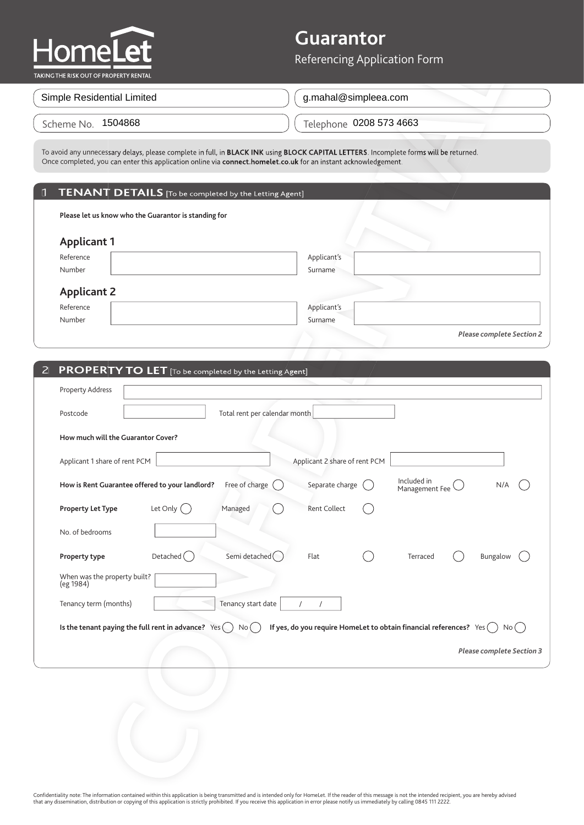

## **Guarantor**

### 1 **TENANT DETAILS** [To be completed by the Letting Agent]

|                                                         | To avoid any unnecessary delays, please complete in full, in BLACK INK using BLOCK CAPITAL LETTERS. Incomplete forms will be returned.<br>Once completed, you can enter this application online via connect.homelet.co.uk for an instant acknowledgement. |                                  |
|---------------------------------------------------------|-----------------------------------------------------------------------------------------------------------------------------------------------------------------------------------------------------------------------------------------------------------|----------------------------------|
|                                                         |                                                                                                                                                                                                                                                           |                                  |
| 1 TENANT DETAILS [To be completed by the Letting Agent] |                                                                                                                                                                                                                                                           |                                  |
| Please let us know who the Guarantor is standing for    |                                                                                                                                                                                                                                                           |                                  |
| <b>Applicant 1</b>                                      |                                                                                                                                                                                                                                                           |                                  |
| Reference                                               | Applicant's                                                                                                                                                                                                                                               |                                  |
| Number                                                  | Surname                                                                                                                                                                                                                                                   |                                  |
| <b>Applicant 2</b>                                      |                                                                                                                                                                                                                                                           |                                  |
| Reference                                               | Applicant's                                                                                                                                                                                                                                               |                                  |
| Number                                                  | Surname                                                                                                                                                                                                                                                   |                                  |
|                                                         |                                                                                                                                                                                                                                                           | <b>Please complete Section 2</b> |

| <b>et</b><br><b>Iomel</b><br>AKING THE RISK OUT OF PROPERTY RENTAL                                                                                                                                                                                        | Referencing Application Form                                                    |
|-----------------------------------------------------------------------------------------------------------------------------------------------------------------------------------------------------------------------------------------------------------|---------------------------------------------------------------------------------|
| Simple Residential Limited                                                                                                                                                                                                                                | g.mahal@simpleea.com                                                            |
| Scheme No. 1504868                                                                                                                                                                                                                                        | Telephone 0208 573 4663                                                         |
| To avoid any unnecessary delays, please complete in full, in BLACK INK using BLOCK CAPITAL LETTERS. Incomplete forms will be returned.<br>Once completed, you can enter this application online via connect.homelet.co.uk for an instant acknowledgement. |                                                                                 |
| TENANT DETAILS [To be completed by the Letting Agent]                                                                                                                                                                                                     |                                                                                 |
| Please let us know who the Guarantor is standing for                                                                                                                                                                                                      |                                                                                 |
| <b>Applicant 1</b><br>Reference<br>Number                                                                                                                                                                                                                 | Applicant's<br>Surname                                                          |
| <b>Applicant 2</b><br>Reference                                                                                                                                                                                                                           | Applicant's                                                                     |
| Number                                                                                                                                                                                                                                                    | Surname<br><b>Please complete Section 2</b>                                     |
| <b>PROPERTY TO LET</b> [To be completed by the Letting Agent]<br>$\mathsf{Z}$                                                                                                                                                                             |                                                                                 |
| Property Address                                                                                                                                                                                                                                          |                                                                                 |
| Total rent per calendar month<br>Postcode                                                                                                                                                                                                                 |                                                                                 |
| How much will the Guarantor Cover?                                                                                                                                                                                                                        |                                                                                 |
| Applicant 1 share of rent PCM                                                                                                                                                                                                                             | Applicant 2 share of rent PCM                                                   |
| How is Rent Guarantee offered to your landlord? Free of charge                                                                                                                                                                                            | Included in<br>Separate charge<br>N/A<br>Management Fee                         |
| Let Only $\bigcap$<br><b>Property Let Type</b><br>Managed                                                                                                                                                                                                 | Rent Collect                                                                    |
| No. of bedrooms                                                                                                                                                                                                                                           |                                                                                 |
| Semi detached $\bigcap$<br>Detached $\binom{ }{ }$<br>Property type                                                                                                                                                                                       | Flat<br>Terraced<br>Bungalow                                                    |
| When was the property built?<br>(eg 1984)                                                                                                                                                                                                                 |                                                                                 |
| Tenancy start date<br>Tenancy term (months)                                                                                                                                                                                                               | $\sqrt{2}$<br>$\sqrt{2}$                                                        |
| Is the tenant paying the full rent in advance? $Yes( )$<br>No( )                                                                                                                                                                                          | If yes, do you require HomeLet to obtain financial references? $Yes( )$<br>No() |
|                                                                                                                                                                                                                                                           | <b>Please complete Section 3</b>                                                |
|                                                                                                                                                                                                                                                           |                                                                                 |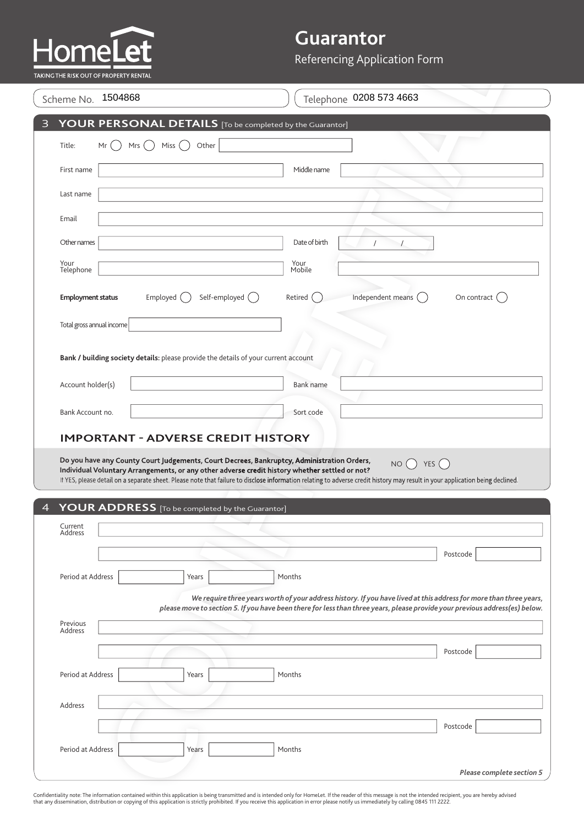# ŀ

## **Guarantor**

| TAKING THE RISK OUT OF PROPERTY RENTAL |                                                                                     | Referencing Application Form                                                                                                                                                                                                                                                                                                                                                                                 |
|----------------------------------------|-------------------------------------------------------------------------------------|--------------------------------------------------------------------------------------------------------------------------------------------------------------------------------------------------------------------------------------------------------------------------------------------------------------------------------------------------------------------------------------------------------------|
| Scheme No. 1504868                     |                                                                                     | Telephone 0208 573 4663                                                                                                                                                                                                                                                                                                                                                                                      |
|                                        | YOUR PERSONAL DETAILS [To be completed by the Guarantor]                            |                                                                                                                                                                                                                                                                                                                                                                                                              |
| Title:<br>Mrs $($ )<br>Mr              | Miss $\binom{1}{2}$<br>Other                                                        |                                                                                                                                                                                                                                                                                                                                                                                                              |
| First name                             |                                                                                     | Middle name                                                                                                                                                                                                                                                                                                                                                                                                  |
| Last name                              |                                                                                     |                                                                                                                                                                                                                                                                                                                                                                                                              |
| Email                                  |                                                                                     |                                                                                                                                                                                                                                                                                                                                                                                                              |
| Other names                            |                                                                                     | Date of birth<br>$\prime$                                                                                                                                                                                                                                                                                                                                                                                    |
| Your<br>Telephone                      |                                                                                     | Your<br>Mobile                                                                                                                                                                                                                                                                                                                                                                                               |
| <b>Employment status</b>               | Self-employed ()<br>Employed (                                                      | Independent means (<br>Retired<br>On contract (                                                                                                                                                                                                                                                                                                                                                              |
| Total gross annual income              |                                                                                     |                                                                                                                                                                                                                                                                                                                                                                                                              |
|                                        |                                                                                     |                                                                                                                                                                                                                                                                                                                                                                                                              |
|                                        | Bank / building society details: please provide the details of your current account |                                                                                                                                                                                                                                                                                                                                                                                                              |
| Account holder(s)                      |                                                                                     | Bank name                                                                                                                                                                                                                                                                                                                                                                                                    |
| Bank Account no.                       |                                                                                     | Sort code                                                                                                                                                                                                                                                                                                                                                                                                    |
|                                        |                                                                                     |                                                                                                                                                                                                                                                                                                                                                                                                              |
|                                        | YOUR ADDRESS [To be completed by the Guarantor]                                     | Do you have any County Court Judgements, Court Decrees, Bankruptcy, Administration Orders,<br>YES $\left(\right)$<br>NO()<br>Individual Voluntary Arrangements, or any other adverse credit history whether settled or not?<br>If YES, please detail on a separate sheet. Please note that failure to disclose information relating to adverse credit history may result in your application being declined. |
| Current<br>Address                     |                                                                                     |                                                                                                                                                                                                                                                                                                                                                                                                              |
|                                        |                                                                                     | Postcode                                                                                                                                                                                                                                                                                                                                                                                                     |
| Period at Address                      | Years                                                                               | Months                                                                                                                                                                                                                                                                                                                                                                                                       |
|                                        |                                                                                     |                                                                                                                                                                                                                                                                                                                                                                                                              |
| Previous<br>Address                    |                                                                                     |                                                                                                                                                                                                                                                                                                                                                                                                              |
|                                        |                                                                                     | Postcode                                                                                                                                                                                                                                                                                                                                                                                                     |
| Period at Address                      | Years                                                                               | Months                                                                                                                                                                                                                                                                                                                                                                                                       |
| Address                                |                                                                                     |                                                                                                                                                                                                                                                                                                                                                                                                              |
|                                        |                                                                                     | We require three years worth of your address history. If you have lived at this address for more than three years,<br>please move to section 5. If you have been there for less than three years, please provide your previous address(es) below.<br>Postcode                                                                                                                                                |
| Period at Address                      | Years                                                                               | Months                                                                                                                                                                                                                                                                                                                                                                                                       |

Confidentiality note: The information contained within this application is being transmitted and is intended only for HomeLet. If the reader of this message is not the intended recipient, you are hereby advised<br>that any di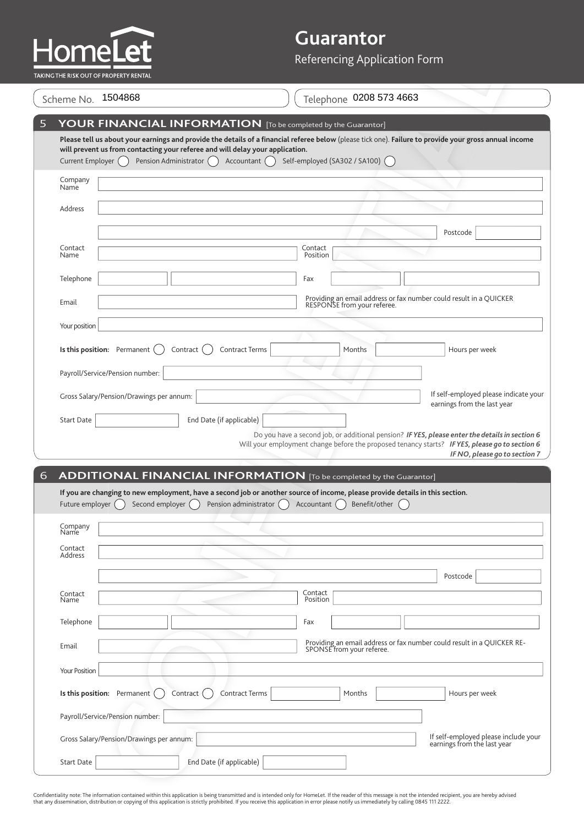

# **Guarantor**

| Scheme No.          | 1504868                                                                                                   | Telephone 0208 573 4663                                                                                                                                                                                                                                                                    |
|---------------------|-----------------------------------------------------------------------------------------------------------|--------------------------------------------------------------------------------------------------------------------------------------------------------------------------------------------------------------------------------------------------------------------------------------------|
| Current Employer () | will prevent us from contacting your referee and will delay your application.<br>Pension Administrator () | YOUR FINANCIAL INFORMATION [To be completed by the Guarantor]<br>Please tell us about your earnings and provide the details of a financial referee below (please tick one). Failure to provide your gross annual income<br>Accountant ()<br>Self-employed (SA302 / SA100) (                |
| Company<br>Name     |                                                                                                           |                                                                                                                                                                                                                                                                                            |
| Address             |                                                                                                           |                                                                                                                                                                                                                                                                                            |
| Contact<br>Name     |                                                                                                           | Postcode<br>Contact<br>Position                                                                                                                                                                                                                                                            |
| Telephone           |                                                                                                           | Fax                                                                                                                                                                                                                                                                                        |
| Email               |                                                                                                           | Providing an email address or fax number could result in a QUICKER<br>RESPONSE from your referee.                                                                                                                                                                                          |
| Your position       |                                                                                                           |                                                                                                                                                                                                                                                                                            |
|                     | Is this position: Permanent<br>Contract                                                                   | <b>Contract Terms</b><br>Months<br>Hours per week                                                                                                                                                                                                                                          |
|                     | Payroll/Service/Pension number:                                                                           |                                                                                                                                                                                                                                                                                            |
|                     |                                                                                                           | If self-employed please indicate your                                                                                                                                                                                                                                                      |
|                     | Gross Salary/Pension/Drawings per annum:                                                                  |                                                                                                                                                                                                                                                                                            |
| <b>Start Date</b>   | End Date (if applicable)                                                                                  | earnings from the last year                                                                                                                                                                                                                                                                |
|                     |                                                                                                           |                                                                                                                                                                                                                                                                                            |
| Future employer ()  | Second employer (                                                                                         | <b>ADDITIONAL FINANCIAL INFORMATION</b> [To be completed by the Guarantor]<br>If you are changing to new employment, have a second job or another source of income, please provide details in this section.<br>Pension administrator $\bigcap$<br>Accountant $\bigcap$<br>Benefit/other () |
| Company<br>Name     |                                                                                                           | Do you have a second job, or additional pension? IF YES, please enter the details in section 6<br>Will your employment change before the proposed tenancy starts? IF YES, please go to section 6<br>IF NO, please go to section 7                                                          |
| Contact<br>Address  |                                                                                                           |                                                                                                                                                                                                                                                                                            |
|                     |                                                                                                           | Postcode                                                                                                                                                                                                                                                                                   |
| Contact<br>Name     |                                                                                                           | Contact<br>Position                                                                                                                                                                                                                                                                        |
| Telephone           |                                                                                                           | Fax                                                                                                                                                                                                                                                                                        |
| Email               |                                                                                                           | SPONSE from your referee.                                                                                                                                                                                                                                                                  |
| Your Position       |                                                                                                           |                                                                                                                                                                                                                                                                                            |
|                     | Is this position: Permanent (<br>Contract (                                                               | Contract Terms<br>Hours per week<br>Months                                                                                                                                                                                                                                                 |
|                     | Payroll/Service/Pension number:                                                                           |                                                                                                                                                                                                                                                                                            |
|                     | Gross Salary/Pension/Drawings per annum:                                                                  | Providing an email address or fax number could result in a QUICKER RE-<br>If self-employed please include your<br>earnings from the last year                                                                                                                                              |

Confidentiality note: The information contained within this application is being transmitted and is intended only for HomeLet. If the reader of this message is not the intended recipient, you are hereby advised<br>that any di